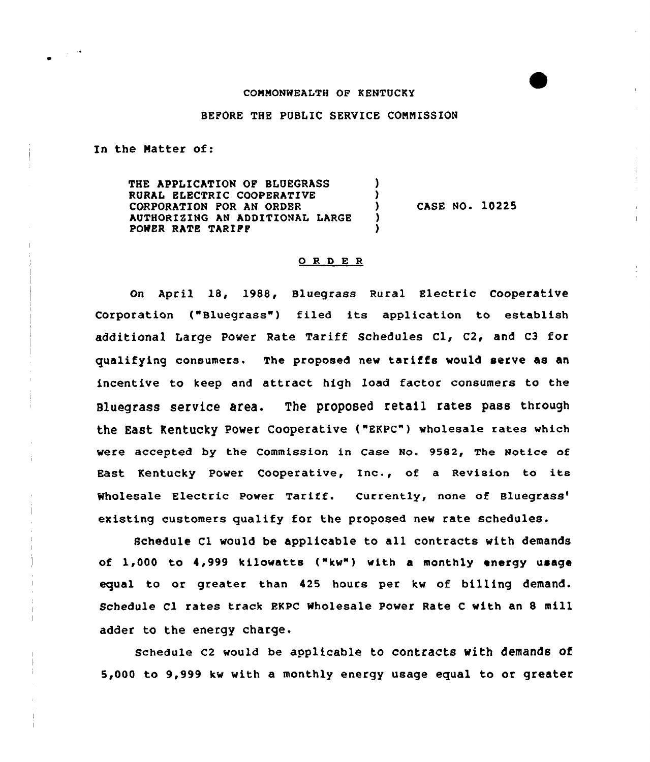### CONNONWEALTH OF KENTUCKY

## BEPORE THE PUBLIC SERVICE CONNISSION

J ı ı

In the Natter of:

THE APPLICATION OP BLUEGRASS RURAL ELECTRIC COOPERATIVE CORPORATION POR AN ORDER AUTHORIZING AN ADDITIONAL LARGE POWER RATE TARIPP

CASE NO. 10225

## 0 <sup>R</sup> <sup>D</sup> E <sup>R</sup>

On April 18, 1988, sluegrass Rural Electric Cooperative Corporation ("Bluegrass") filed its application to establish additional Large power Rate Tariff Schedules Cl, C2, and C3 for qualifying consumers. The proposed new tariffs would serve as an incentive to keep and attract high load factor consumers to the Bluegrass service area. The proposed retail rates pass through the East Kentucky Power Cooperative ("EKPC") wholesale rates which were accepted by the commission in case No. 9582, The Notice of East Kentucky power cooperative, Inc., of <sup>a</sup> Revision to its Wholesale Electric Power Tariff. Currently, none of Bluegrass' existing customers qualify for the proposed new rate schedules.

Schedule Cl would be applicable to all contracts with demands of 1,000 to 4,999 kilowatts ("kw") with a monthly energy usag» equal to or greater than 425 hours per kw of billing demand. Schedule Cl rates track EKPC Wholesale Power Rate <sup>C</sup> with an 8 mill adder to the energy charge,

schedule c2 would be applicable to contracts with demands of 5,000 to 9,999 kw with a monthly energy usage equal to or greater